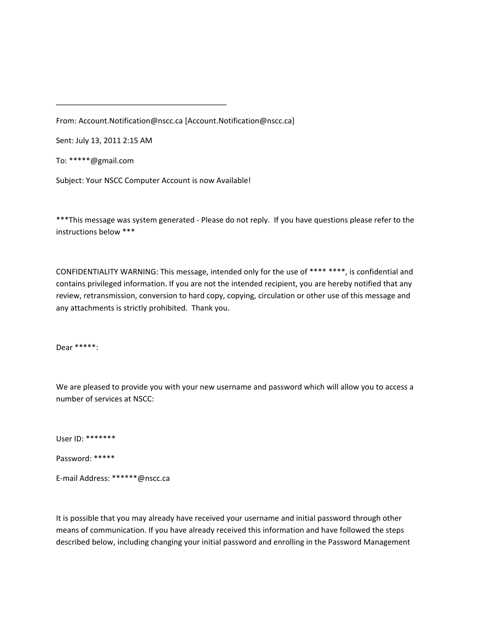From: Account.Notification@nscc.ca [Account.Notification@nscc.ca]

Sent: July 13, 2011 2:15 AM

To: \*\*\*\*\*@gmail.com

Subject: Your NSCC Computer Account is now Available!

\_\_\_\_\_\_\_\_\_\_\_\_\_\_\_\_\_\_\_\_\_\_\_\_\_\_\_\_\_\_\_\_\_\_\_\_\_\_\_\_

\*\*\*This message was system generated ‐ Please do not reply. If you have questions please refer to the instructions below \*\*\*

CONFIDENTIALITY WARNING: This message, intended only for the use of \*\*\*\* \*\*\*\*, is confidential and contains privileged information. If you are not the intended recipient, you are hereby notified that any review, retransmission, conversion to hard copy, copying, circulation or other use of this message and any attachments is strictly prohibited. Thank you.

Dear \*\*\*\*\*:

We are pleased to provide you with your new username and password which will allow you to access a number of services at NSCC:

User ID: \*\*\*\*\*\*\*

Password: \*\*\*\*\*

E‐mail Address: \*\*\*\*\*\*@nscc.ca

It is possible that you may already have received your username and initial password through other means of communication. If you have already received this information and have followed the steps described below, including changing your initial password and enrolling in the Password Management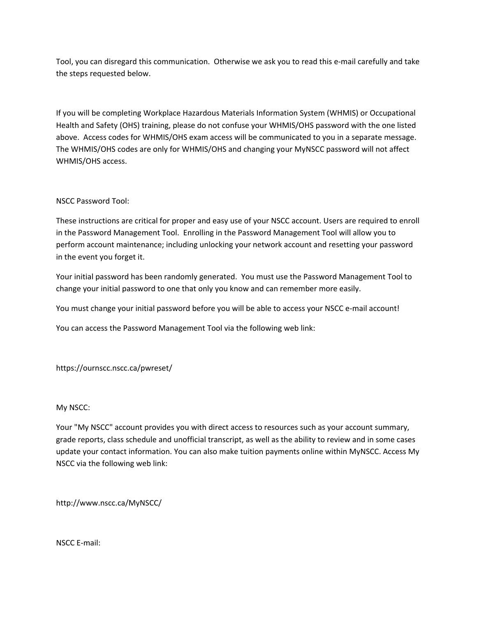Tool, you can disregard this communication. Otherwise we ask you to read this e-mail carefully and take the steps requested below.

If you will be completing Workplace Hazardous Materials Information System (WHMIS) or Occupational Health and Safety (OHS) training, please do not confuse your WHMIS/OHS password with the one listed above. Access codes for WHMIS/OHS exam access will be communicated to you in a separate message. The WHMIS/OHS codes are only for WHMIS/OHS and changing your MyNSCC password will not affect WHMIS/OHS access.

## NSCC Password Tool:

These instructions are critical for proper and easy use of your NSCC account. Users are required to enroll in the Password Management Tool. Enrolling in the Password Management Tool will allow you to perform account maintenance; including unlocking your network account and resetting your password in the event you forget it.

Your initial password has been randomly generated. You must use the Password Management Tool to change your initial password to one that only you know and can remember more easily.

You must change your initial password before you will be able to access your NSCC e‐mail account!

You can access the Password Management Tool via the following web link:

https://ournscc.nscc.ca/pwreset/

## My NSCC:

Your "My NSCC" account provides you with direct access to resources such as your account summary, grade reports, class schedule and unofficial transcript, as well as the ability to review and in some cases update your contact information. You can also make tuition payments online within MyNSCC. Access My NSCC via the following web link:

http://www.nscc.ca/MyNSCC/

NSCC E‐mail: